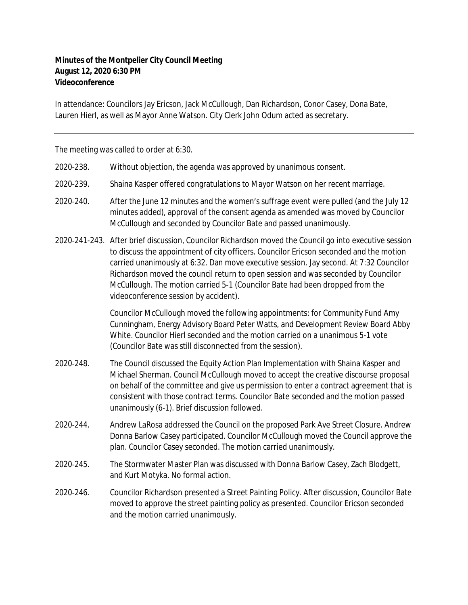## **Minutes of the Montpelier City Council Meeting August 12, 2020 6:30 PM Videoconference**

In attendance: Councilors Jay Ericson, Jack McCullough, Dan Richardson, Conor Casey, Dona Bate, Lauren Hierl, as well as Mayor Anne Watson. City Clerk John Odum acted as secretary.

The meeting was called to order at 6:30.

- 2020‐238. Without objection, the agenda was approved by unanimous consent.
- 2020‐239. Shaina Kasper offered congratulations to Mayor Watson on her recent marriage.
- 2020‐240. After the June 12 minutes and the women's suffrage event were pulled (and the July 12 minutes added), approval of the consent agenda as amended was moved by Councilor McCullough and seconded by Councilor Bate and passed unanimously.
- 2020‐241-243. After brief discussion, Councilor Richardson moved the Council go into executive session to discuss the appointment of city officers. Councilor Ericson seconded and the motion carried unanimously at 6:32. Dan move executive session. Jay second. At 7:32 Councilor Richardson moved the council return to open session and was seconded by Councilor McCullough. The motion carried 5-1 (Councilor Bate had been dropped from the videoconference session by accident).

Councilor McCullough moved the following appointments: for Community Fund Amy Cunningham, Energy Advisory Board Peter Watts, and Development Review Board Abby White. Councilor Hierl seconded and the motion carried on a unanimous 5-1 vote (Councilor Bate was still disconnected from the session).

- 2020‐248. The Council discussed the Equity Action Plan Implementation with Shaina Kasper and Michael Sherman. Council McCullough moved to accept the creative discourse proposal on behalf of the committee and give us permission to enter a contract agreement that is consistent with those contract terms. Councilor Bate seconded and the motion passed unanimously (6-1). Brief discussion followed.
- 2020‐244. Andrew LaRosa addressed the Council on the proposed Park Ave Street Closure. Andrew Donna Barlow Casey participated. Councilor McCullough moved the Council approve the plan. Councilor Casey seconded. The motion carried unanimously.
- 2020-245. The Stormwater Master Plan was discussed with Donna Barlow Casey, Zach Blodgett, and Kurt Motyka. No formal action.
- 2020‐246. Councilor Richardson presented a Street Painting Policy. After discussion, Councilor Bate moved to approve the street painting policy as presented. Councilor Ericson seconded and the motion carried unanimously.